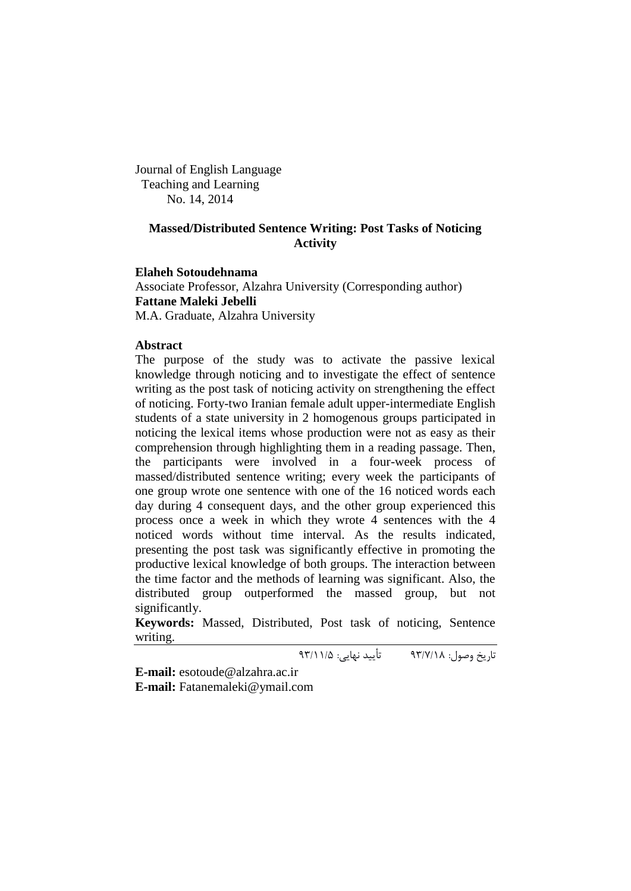Journal of English Language Teaching and Learning No. 14, 2014

# **Massed/Distributed Sentence Writing: Post Tasks of Noticing Activity**

**Elaheh Sotoudehnama** Associate Professor, Alzahra University (Corresponding author) **Fattane Maleki Jebelli**

M.A. Graduate, Alzahra University

## **Abstract**

The purpose of the study was to activate the passive lexical knowledge through noticing and to investigate the effect of sentence writing as the post task of noticing activity on strengthening the effect of noticing. Forty-two Iranian female adult upper-intermediate English students of a state university in 2 homogenous groups participated in noticing the lexical items whose production were not as easy as their comprehension through highlighting them in a reading passage. Then, the participants were involved in a four-week process of massed/distributed sentence writing; every week the participants of one group wrote one sentence with one of the 16 noticed words each day during 4 consequent days, and the other group experienced this process once a week in which they wrote 4 sentences with the 4 noticed words without time interval. As the results indicated, presenting the post task was significantly effective in promoting the productive lexical knowledge of both groups. The interaction between the time factor and the methods of learning was significant. Also, the distributed group outperformed the massed group, but not significantly.

**Keywords:** Massed, Distributed, Post task of noticing, Sentence writing.

تاریخ وصول: 39/7/81 تأیید نهایی: 39/88/5

**E-mail:** esotoude@alzahra.ac.ir

**E-mail:** Fatanemaleki@ymail.com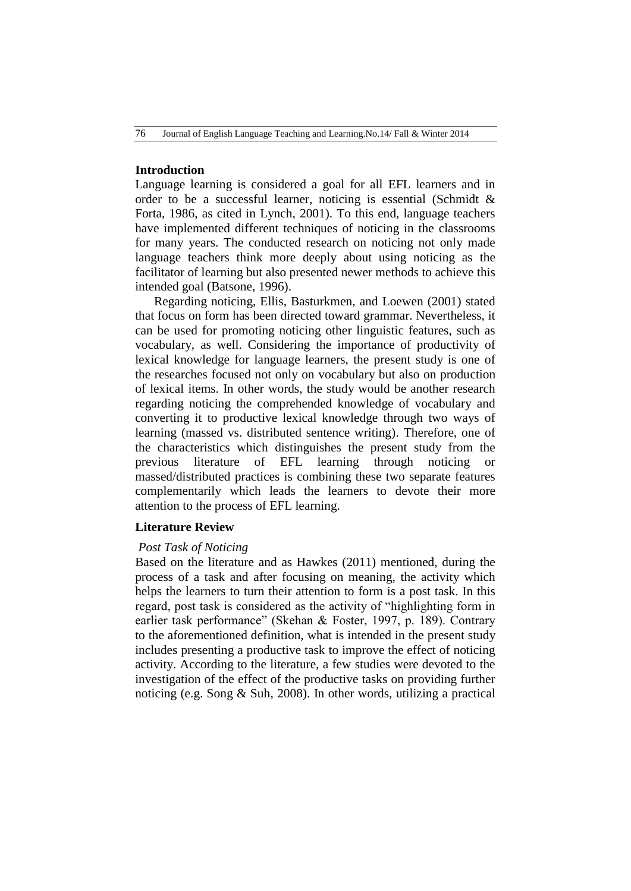## **Introduction**

Language learning is considered a goal for all EFL learners and in order to be a successful learner, noticing is essential (Schmidt  $\&$ Forta, 1986, as cited in Lynch, 2001). To this end, language teachers have implemented different techniques of noticing in the classrooms for many years. The conducted research on noticing not only made language teachers think more deeply about using noticing as the facilitator of learning but also presented newer methods to achieve this intended goal (Batsone, 1996).

Regarding noticing, Ellis, Basturkmen, and Loewen (2001) stated that focus on form has been directed toward grammar. Nevertheless, it can be used for promoting noticing other linguistic features, such as vocabulary, as well. Considering the importance of productivity of lexical knowledge for language learners, the present study is one of the researches focused not only on vocabulary but also on production of lexical items. In other words, the study would be another research regarding noticing the comprehended knowledge of vocabulary and converting it to productive lexical knowledge through two ways of learning (massed vs. distributed sentence writing). Therefore, one of the characteristics which distinguishes the present study from the previous literature of EFL learning through noticing or massed/distributed practices is combining these two separate features complementarily which leads the learners to devote their more attention to the process of EFL learning.

### **Literature Review**

#### *Post Task of Noticing*

Based on the literature and as Hawkes (2011) mentioned, during the process of a task and after focusing on meaning, the activity which helps the learners to turn their attention to form is a post task. In this regard, post task is considered as the activity of "highlighting form in earlier task performance" (Skehan & Foster, 1997, p. 189). Contrary to the aforementioned definition, what is intended in the present study includes presenting a productive task to improve the effect of noticing activity. According to the literature, a few studies were devoted to the investigation of the effect of the productive tasks on providing further noticing (e.g. Song & Suh, 2008). In other words, utilizing a practical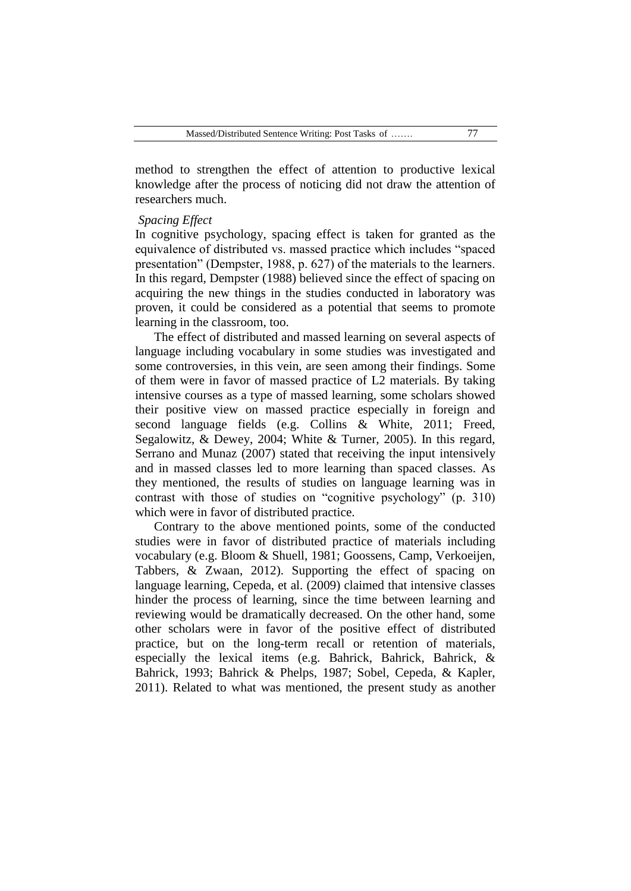method to strengthen the effect of attention to productive lexical knowledge after the process of noticing did not draw the attention of researchers much.

#### *Spacing Effect*

In cognitive psychology, spacing effect is taken for granted as the equivalence of distributed vs. massed practice which includes "spaced presentation" (Dempster, 1988, p. 627) of the materials to the learners. In this regard, Dempster (1988) believed since the effect of spacing on acquiring the new things in the studies conducted in laboratory was proven, it could be considered as a potential that seems to promote learning in the classroom, too.

The effect of distributed and massed learning on several aspects of language including vocabulary in some studies was investigated and some controversies, in this vein, are seen among their findings. Some of them were in favor of massed practice of L2 materials. By taking intensive courses as a type of massed learning, some scholars showed their positive view on massed practice especially in foreign and second language fields (e.g. Collins & White, 2011; Freed, Segalowitz, & Dewey, 2004; White & Turner, 2005). In this regard, Serrano and Munaz (2007) stated that receiving the input intensively and in massed classes led to more learning than spaced classes. As they mentioned, the results of studies on language learning was in contrast with those of studies on "cognitive psychology" (p. 310) which were in favor of distributed practice.

Contrary to the above mentioned points, some of the conducted studies were in favor of distributed practice of materials including vocabulary (e.g. Bloom & Shuell, 1981; Goossens, Camp, Verkoeijen, Tabbers, & Zwaan, 2012). Supporting the effect of spacing on language learning, Cepeda, et al. (2009) claimed that intensive classes hinder the process of learning, since the time between learning and reviewing would be dramatically decreased. On the other hand, some other scholars were in favor of the positive effect of distributed practice, but on the long-term recall or retention of materials, especially the lexical items (e.g. Bahrick, Bahrick, Bahrick, & Bahrick, 1993; Bahrick & Phelps, 1987; Sobel, Cepeda, & Kapler, 2011). Related to what was mentioned, the present study as another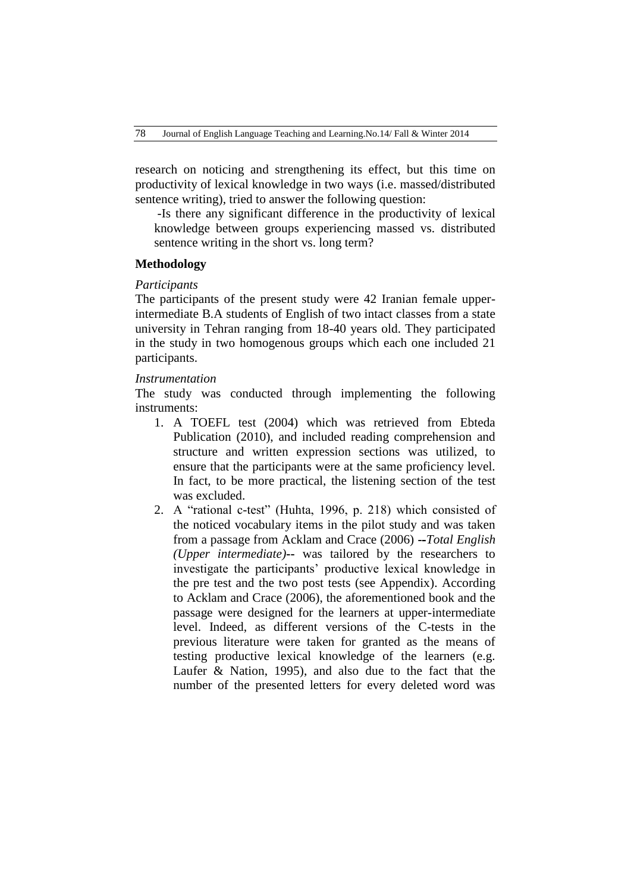research on noticing and strengthening its effect, but this time on productivity of lexical knowledge in two ways (i.e. massed/distributed sentence writing), tried to answer the following question:

-Is there any significant difference in the productivity of lexical knowledge between groups experiencing massed vs. distributed sentence writing in the short vs. long term?

### **Methodology**

## *Participants*

The participants of the present study were 42 Iranian female upperintermediate B.A students of English of two intact classes from a state university in Tehran ranging from 18-40 years old. They participated in the study in two homogenous groups which each one included 21 participants.

#### *Instrumentation*

The study was conducted through implementing the following instruments:

- 1. A TOEFL test (2004) which was retrieved from Ebteda Publication (2010), and included reading comprehension and structure and written expression sections was utilized, to ensure that the participants were at the same proficiency level. In fact, to be more practical, the listening section of the test was excluded.
- 2. A "rational c-test" (Huhta, 1996, p. 218) which consisted of the noticed vocabulary items in the pilot study and was taken from a passage from Acklam and Crace (2006) **--***Total English (Upper intermediate)***--** was tailored by the researchers to investigate the participants' productive lexical knowledge in the pre test and the two post tests (see Appendix). According to Acklam and Crace (2006), the aforementioned book and the passage were designed for the learners at upper-intermediate level. Indeed, as different versions of the C-tests in the previous literature were taken for granted as the means of testing productive lexical knowledge of the learners (e.g. Laufer & Nation, 1995), and also due to the fact that the number of the presented letters for every deleted word was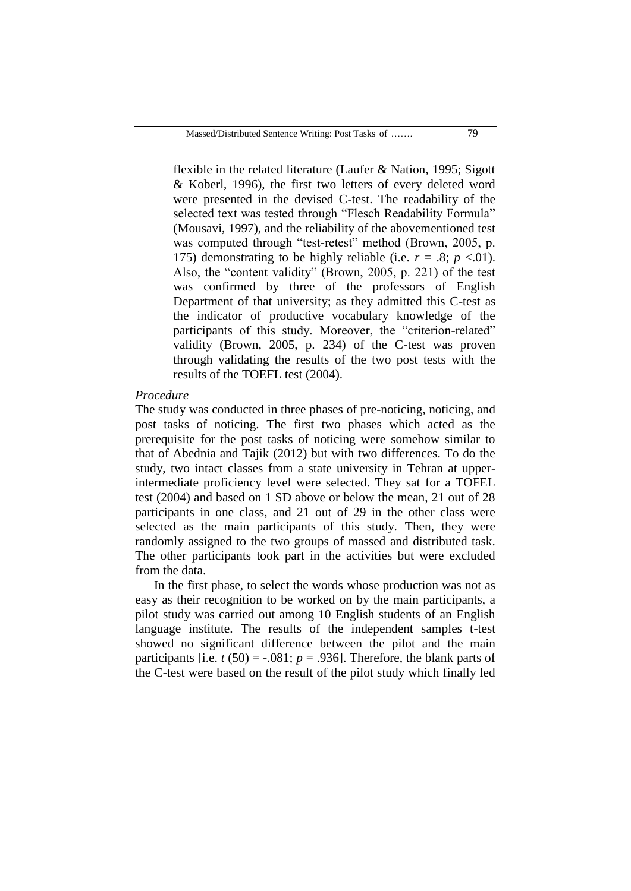flexible in the related literature (Laufer & Nation, 1995; Sigott & Koberl, 1996), the first two letters of every deleted word were presented in the devised C-test. The readability of the selected text was tested through "Flesch Readability Formula" (Mousavi, 1997), and the reliability of the abovementioned test was computed through "test-retest" method (Brown, 2005, p. 175) demonstrating to be highly reliable (i.e.  $r = .8$ ;  $p < .01$ ). Also, the "content validity" (Brown, 2005, p. 221) of the test was confirmed by three of the professors of English Department of that university; as they admitted this C-test as the indicator of productive vocabulary knowledge of the participants of this study. Moreover, the "criterion-related" validity (Brown, 2005, p. 234) of the C-test was proven through validating the results of the two post tests with the results of the TOEFL test (2004).

#### *Procedure*

The study was conducted in three phases of pre-noticing, noticing, and post tasks of noticing. The first two phases which acted as the prerequisite for the post tasks of noticing were somehow similar to that of Abednia and Tajik (2012) but with two differences. To do the study, two intact classes from a state university in Tehran at upperintermediate proficiency level were selected. They sat for a TOFEL test (2004) and based on 1 SD above or below the mean, 21 out of 28 participants in one class, and 21 out of 29 in the other class were selected as the main participants of this study. Then, they were randomly assigned to the two groups of massed and distributed task. The other participants took part in the activities but were excluded from the data.

In the first phase, to select the words whose production was not as easy as their recognition to be worked on by the main participants, a pilot study was carried out among 10 English students of an English language institute. The results of the independent samples t-test showed no significant difference between the pilot and the main participants [i.e.  $t(50) = -.081$ ;  $p = .936$ ]. Therefore, the blank parts of the C-test were based on the result of the pilot study which finally led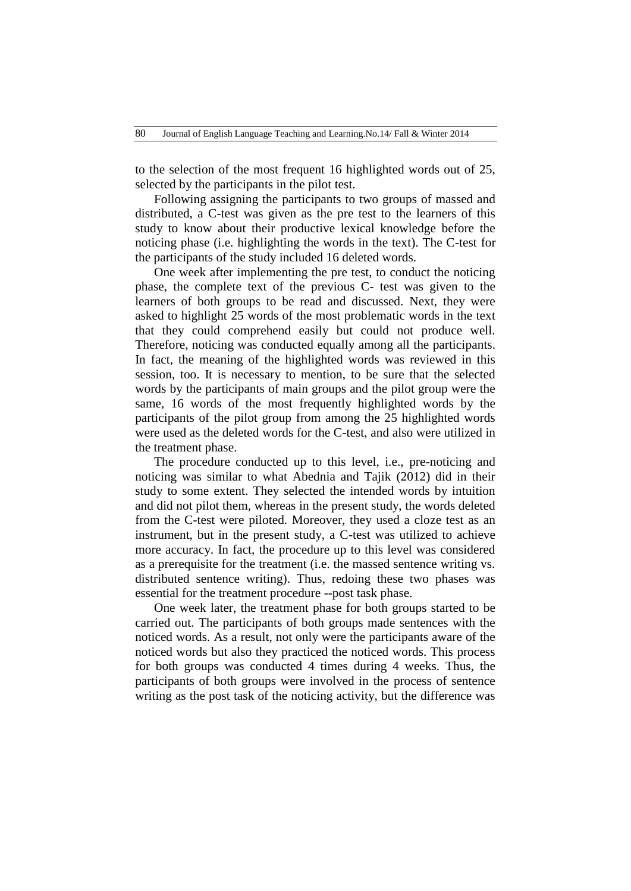to the selection of the most frequent 16 highlighted words out of 25, selected by the participants in the pilot test.

Following assigning the participants to two groups of massed and distributed, a C-test was given as the pre test to the learners of this study to know about their productive lexical knowledge before the noticing phase (i.e. highlighting the words in the text). The C-test for the participants of the study included 16 deleted words.

One week after implementing the pre test, to conduct the noticing phase, the complete text of the previous C- test was given to the learners of both groups to be read and discussed. Next, they were asked to highlight 25 words of the most problematic words in the text that they could comprehend easily but could not produce well. Therefore, noticing was conducted equally among all the participants. In fact, the meaning of the highlighted words was reviewed in this session, too. It is necessary to mention, to be sure that the selected words by the participants of main groups and the pilot group were the same, 16 words of the most frequently highlighted words by the participants of the pilot group from among the 25 highlighted words were used as the deleted words for the C-test, and also were utilized in the treatment phase.

The procedure conducted up to this level, i.e., pre-noticing and noticing was similar to what Abednia and Tajik (2012) did in their study to some extent. They selected the intended words by intuition and did not pilot them, whereas in the present study, the words deleted from the C-test were piloted. Moreover, they used a cloze test as an instrument, but in the present study, a C-test was utilized to achieve more accuracy. In fact, the procedure up to this level was considered as a prerequisite for the treatment (i.e. the massed sentence writing vs. distributed sentence writing). Thus, redoing these two phases was essential for the treatment procedure --post task phase.

One week later, the treatment phase for both groups started to be carried out. The participants of both groups made sentences with the noticed words. As a result, not only were the participants aware of the noticed words but also they practiced the noticed words. This process for both groups was conducted 4 times during 4 weeks. Thus, the participants of both groups were involved in the process of sentence writing as the post task of the noticing activity, but the difference was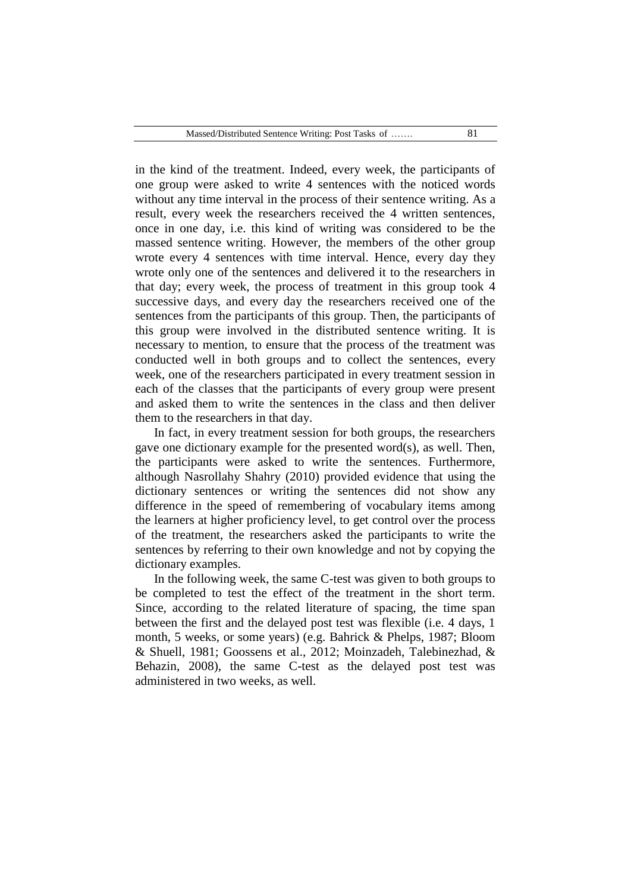in the kind of the treatment. Indeed, every week, the participants of one group were asked to write 4 sentences with the noticed words without any time interval in the process of their sentence writing. As a result, every week the researchers received the 4 written sentences, once in one day, i.e. this kind of writing was considered to be the massed sentence writing. However, the members of the other group wrote every 4 sentences with time interval. Hence, every day they wrote only one of the sentences and delivered it to the researchers in that day; every week, the process of treatment in this group took 4 successive days, and every day the researchers received one of the sentences from the participants of this group. Then, the participants of this group were involved in the distributed sentence writing. It is necessary to mention, to ensure that the process of the treatment was conducted well in both groups and to collect the sentences, every week, one of the researchers participated in every treatment session in each of the classes that the participants of every group were present and asked them to write the sentences in the class and then deliver them to the researchers in that day.

In fact, in every treatment session for both groups, the researchers gave one dictionary example for the presented word(s), as well. Then, the participants were asked to write the sentences. Furthermore, although Nasrollahy Shahry (2010) provided evidence that using the dictionary sentences or writing the sentences did not show any difference in the speed of remembering of vocabulary items among the learners at higher proficiency level, to get control over the process of the treatment, the researchers asked the participants to write the sentences by referring to their own knowledge and not by copying the dictionary examples.

In the following week, the same C-test was given to both groups to be completed to test the effect of the treatment in the short term. Since, according to the related literature of spacing, the time span between the first and the delayed post test was flexible (i.e. 4 days, 1 month, 5 weeks, or some years) (e.g. Bahrick & Phelps, 1987; Bloom & Shuell, 1981; Goossens et al., 2012; Moinzadeh, Talebinezhad, & Behazin, 2008), the same C-test as the delayed post test was administered in two weeks, as well.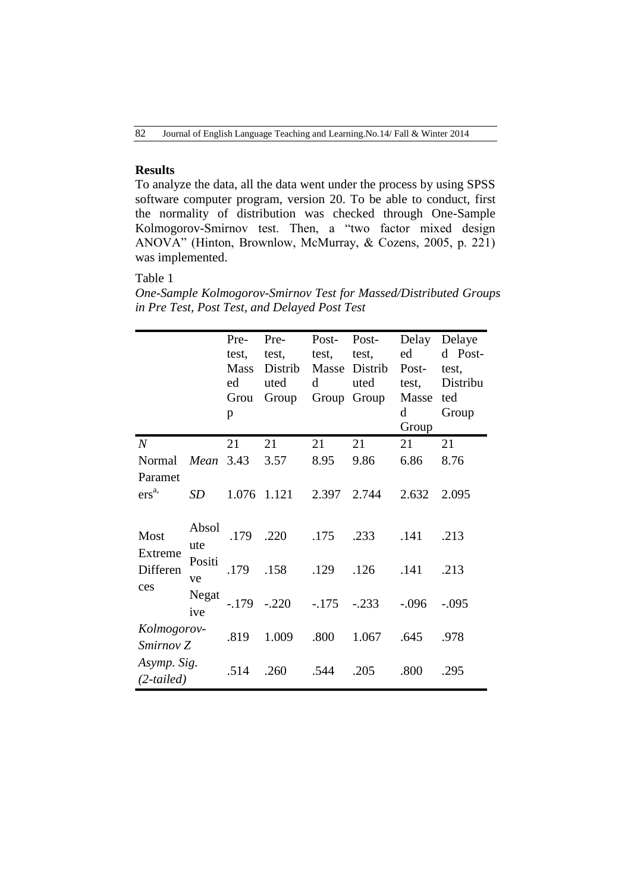# **Results**

To analyze the data, all the data went under the process by using SPSS software computer program, version 20. To be able to conduct, first the normality of distribution was checked through One-Sample Kolmogorov-Smirnov test. Then, a "two factor mixed design ANOVA" (Hinton, Brownlow, McMurray, & Cozens, 2005, p. 221) was implemented.

# Table 1

*One-Sample Kolmogorov-Smirnov Test for Massed/Distributed Groups in Pre Test, Post Test, and Delayed Post Test*

|                                    |              | Pre-<br>test,<br><b>Mass</b><br>ed<br>Grou<br>p | Pre-<br>test,<br>Distrib<br>uted<br>Group | Post-<br>test,<br>Masse<br>d | Post-<br>test,<br>Distrib<br>uted<br>Group Group | Delay<br>ed<br>Post-<br>test,<br>Masse<br>$\mathbf d$<br>Group | Delaye<br>d Post-<br>test,<br>Distribu<br>ted<br>Group |
|------------------------------------|--------------|-------------------------------------------------|-------------------------------------------|------------------------------|--------------------------------------------------|----------------------------------------------------------------|--------------------------------------------------------|
| $\boldsymbol{N}$                   |              | 21                                              | 21                                        | 21                           | 21                                               | 21                                                             | 21                                                     |
| Normal                             | Mean         | 3.43                                            | 3.57                                      | 8.95                         | 9.86                                             | 6.86                                                           | 8.76                                                   |
| Paramet<br>ers <sup>a,</sup>       | SD           | 1.076                                           | 1.121                                     | 2.397                        | 2.744                                            | 2.632                                                          | 2.095                                                  |
| Most<br>Extreme<br>Differen<br>ces | Absol<br>ute | .179                                            | .220                                      | .175                         | .233                                             | .141                                                           | .213                                                   |
|                                    | Positi<br>ve | .179                                            | .158                                      | .129                         | .126                                             | .141                                                           | .213                                                   |
|                                    | Negat<br>ive | $-179$                                          | $-.220$                                   | $-.175$                      | $-.233$                                          | $-.096$                                                        | $-.095$                                                |
| Kolmogorov-<br>Smirnov Z           |              | .819                                            | 1.009                                     | .800                         | 1.067                                            | .645                                                           | .978                                                   |
| Asymp. Sig.<br>$(2-tailed)$        |              | .514                                            | .260                                      | .544                         | .205                                             | .800                                                           | .295                                                   |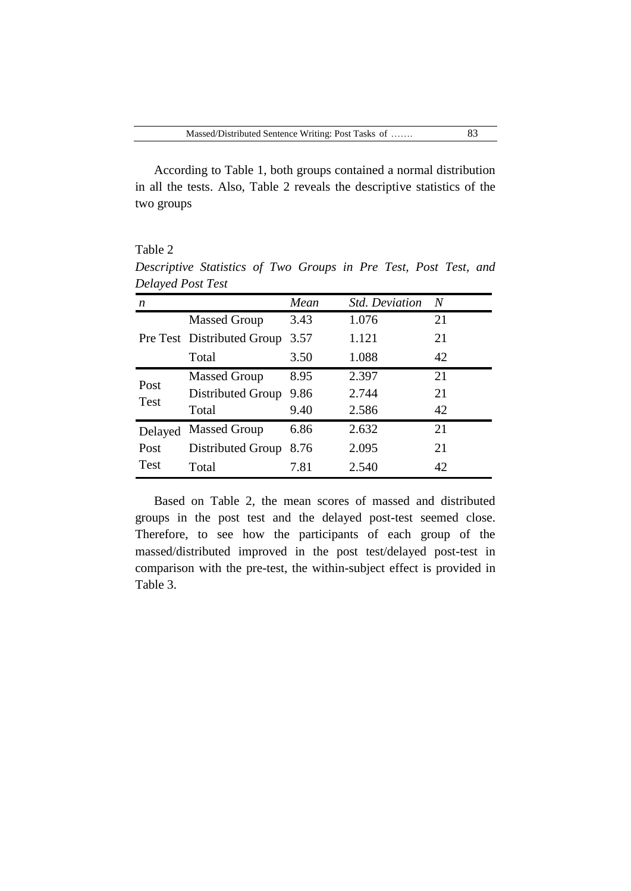According to Table 1, both groups contained a normal distribution in all the tests. Also, Table 2 reveals the descriptive statistics of the two groups

Table 2 *Descriptive Statistics of Two Groups in Pre Test, Post Test, and Delayed Post Test*

| n                   |                            | Mean | <b>Std. Deviation</b> | N  |
|---------------------|----------------------------|------|-----------------------|----|
|                     | <b>Massed Group</b>        | 3.43 | 1.076                 | 21 |
|                     | Pre Test Distributed Group | 3.57 | 1.121                 | 21 |
|                     | Total                      | 3.50 | 1.088                 | 42 |
| Post<br><b>Test</b> | <b>Massed Group</b>        | 8.95 | 2.397                 | 21 |
|                     | Distributed Group          | 9.86 | 2.744                 | 21 |
|                     | Total                      | 9.40 | 2.586                 | 42 |
| Delayed             | <b>Massed Group</b>        | 6.86 | 2.632                 | 21 |
| Post                | Distributed Group          | 8.76 | 2.095                 | 21 |
| <b>Test</b>         | Total                      | 7.81 | 2.540                 | 42 |

Based on Table 2, the mean scores of massed and distributed groups in the post test and the delayed post-test seemed close. Therefore, to see how the participants of each group of the massed/distributed improved in the post test/delayed post-test in comparison with the pre-test, the within-subject effect is provided in Table 3.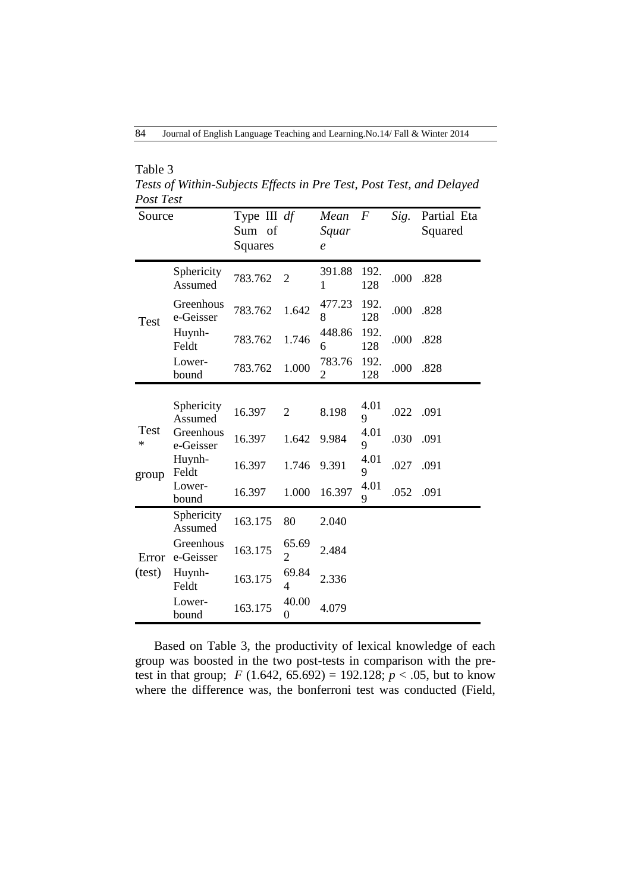| Table 3                                                              |
|----------------------------------------------------------------------|
| Tests of Within-Subjects Effects in Pre Test, Post Test, and Delayed |
| Post Test                                                            |

| Source                    |                        | Type III $df$<br>Sum of<br>Squares |                         | Mean<br>Squar<br>$\mathcal{C}_{0}$ | $\boldsymbol{F}$ | Sig. | Partial Eta<br>Squared |
|---------------------------|------------------------|------------------------------------|-------------------------|------------------------------------|------------------|------|------------------------|
| Test                      | Sphericity<br>Assumed  | 783.762                            | $\overline{2}$          | 391.88<br>1                        | 192.<br>128      | .000 | .828                   |
|                           | Greenhous<br>e-Geisser | 783.762                            | 1.642                   | 477.23<br>8                        | 192.<br>128      | .000 | .828                   |
|                           | Huynh-<br>Feldt        | 783.762                            | 1.746                   | 448.86<br>6                        | 192.<br>128      | .000 | .828                   |
|                           | Lower-<br>bound        | 783.762                            | 1.000                   | 783.76<br>$\overline{2}$           | 192.<br>128      | .000 | .828                   |
|                           | Sphericity<br>Assumed  | 16.397                             | $\overline{2}$          | 8.198                              | 4.01<br>9        | .022 | .091                   |
| <b>Test</b><br>∗<br>group | Greenhous<br>e-Geisser | 16.397                             | 1.642                   | 9.984                              | 4.01<br>9        | .030 | .091                   |
|                           | Huynh-<br>Feldt        | 16.397                             | 1.746                   | 9.391                              | 4.01<br>9        | .027 | .091                   |
|                           | Lower-<br>bound        | 16.397                             | 1.000                   | 16.397                             | 4.01<br>9        | .052 | .091                   |
| Error<br>(test)           | Sphericity<br>Assumed  | 163.175                            | 80                      | 2.040                              |                  |      |                        |
|                           | Greenhous<br>e-Geisser | 163.175                            | 65.69<br>$\overline{2}$ | 2.484                              |                  |      |                        |
|                           | Huynh-<br>Feldt        | 163.175                            | 69.84<br>4              | 2.336                              |                  |      |                        |
|                           | Lower-<br>bound        | 163.175                            | 40.00<br>0              | 4.079                              |                  |      |                        |

Based on Table 3, the productivity of lexical knowledge of each group was boosted in the two post-tests in comparison with the pretest in that group;  $F(1.642, 65.692) = 192.128$ ;  $p < .05$ , but to know where the difference was, the bonferroni test was conducted (Field,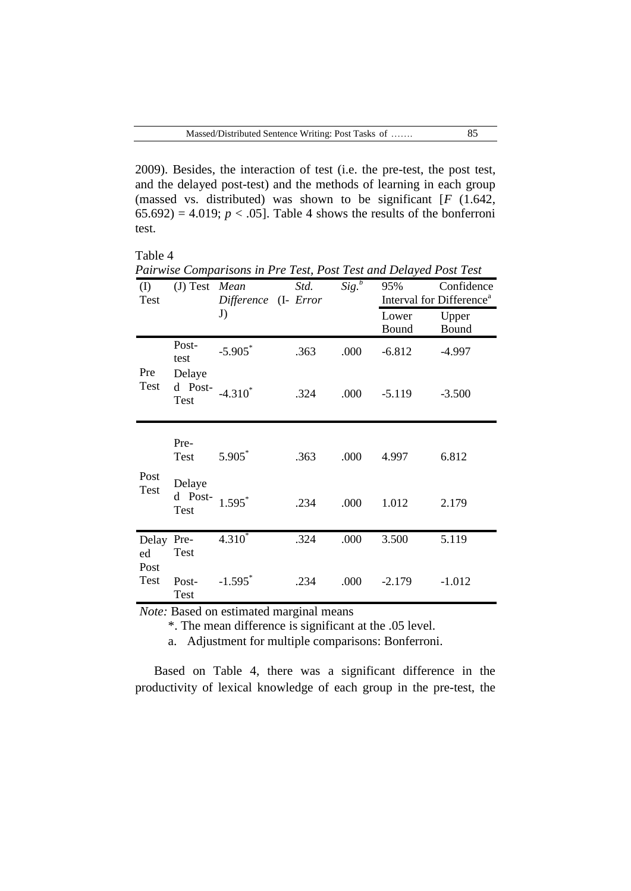2009). Besides, the interaction of test (i.e. the pre-test, the post test, and the delayed post-test) and the methods of learning in each group (massed vs. distributed) was shown to be significant [*F* (1.642, 65.692) = 4.019;  $p < .05$ ]. Table 4 shows the results of the bonferroni test.

Table 4

|                          |                                  | Pairwise Comparisons in Pre Test, Post Test and Delayed Post Test |      |                     |                                      |            |
|--------------------------|----------------------------------|-------------------------------------------------------------------|------|---------------------|--------------------------------------|------------|
| $\rm (I)$                | (J) Test Mean                    |                                                                   | Std. | $\overline{Sig.}^b$ | 95%                                  | Confidence |
| Test                     |                                  | Difference (I- Error                                              |      |                     | Interval for Difference <sup>a</sup> |            |
|                          |                                  | J)                                                                |      |                     | Lower                                | Upper      |
|                          |                                  |                                                                   |      |                     | Bound                                | Bound      |
|                          | Post-<br>test                    | $-5.905$ *                                                        | .363 | .000                | $-6.812$                             | $-4.997$   |
| Pre<br>Test              | Delaye<br>d Post-<br>Test        | $-4.310^*$                                                        | .324 | .000                | $-5.119$                             | $-3.500$   |
|                          |                                  |                                                                   |      |                     |                                      |            |
|                          | Pre-<br>Test                     | $5.905*$                                                          | .363 | .000                | 4.997                                | 6.812      |
| Post<br>Test             | Delaye<br>d Post-<br><b>Test</b> | $1.595*$                                                          | .234 | .000                | 1.012                                | 2.179      |
| Delay Pre-<br>ed<br>Post | Test                             | $4.310^{*}$                                                       | .324 | .000                | 3.500                                | 5.119      |
| Test                     | Post-<br>Test                    | $-1.595$ <sup>*</sup>                                             | .234 | .000                | $-2.179$                             | $-1.012$   |

*Pairwise Comparisons in Pre Test, Post Test and Delayed Post Test*

*Note:* Based on estimated marginal means

\*. The mean difference is significant at the .05 level.

a. Adjustment for multiple comparisons: Bonferroni.

Based on Table 4, there was a significant difference in the productivity of lexical knowledge of each group in the pre-test, the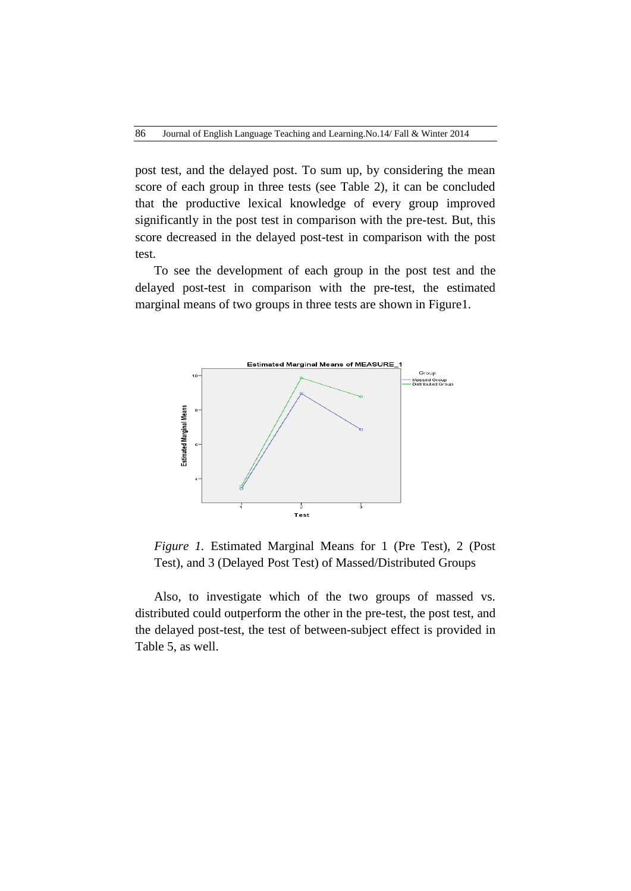post test, and the delayed post. To sum up, by considering the mean score of each group in three tests (see Table 2), it can be concluded that the productive lexical knowledge of every group improved significantly in the post test in comparison with the pre-test. But, this score decreased in the delayed post-test in comparison with the post test.

To see the development of each group in the post test and the delayed post-test in comparison with the pre-test, the estimated marginal means of two groups in three tests are shown in Figure1.



*Figure 1.* Estimated Marginal Means for 1 (Pre Test), 2 (Post Test), and 3 (Delayed Post Test) of Massed/Distributed Groups

Also, to investigate which of the two groups of massed vs. distributed could outperform the other in the pre-test, the post test, and the delayed post-test, the test of between-subject effect is provided in Table 5, as well.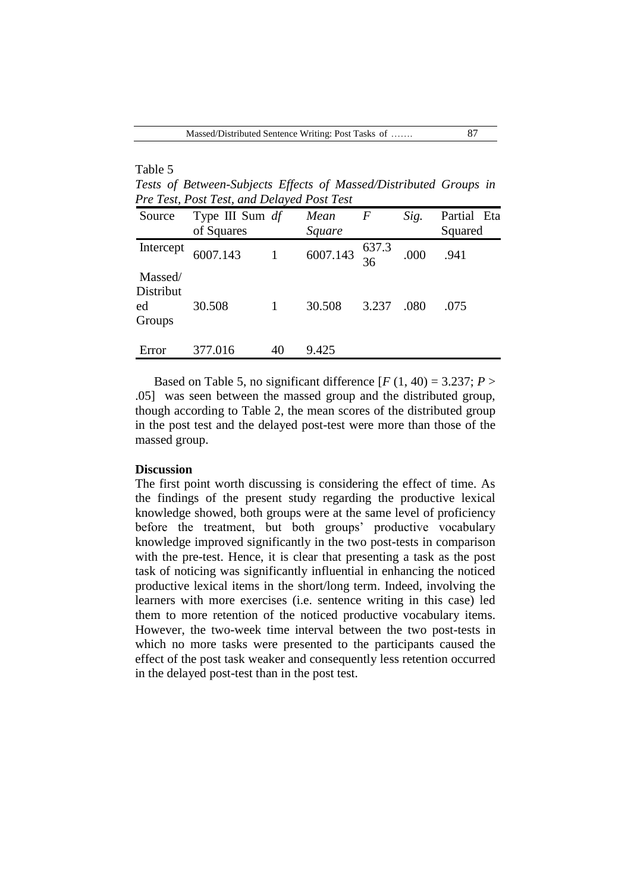# Table 5

*Tests of Between-Subjects Effects of Massed/Distributed Groups in Pre Test, Post Test, and Delayed Post Test*

| Source                               | Type III Sum df<br>of Squares |    | Mean<br>Square                           | F     | Sig. | Partial Eta<br>Squared |
|--------------------------------------|-------------------------------|----|------------------------------------------|-------|------|------------------------|
| Intercept                            | 6007.143                      |    | $\overline{6007.143}$ $\frac{637.3}{36}$ |       | .000 | .941                   |
| Massed/<br>Distribut<br>ed<br>Groups | 30.508                        |    | 30.508                                   | 3.237 | .080 | .075                   |
| Error                                | 377.016                       | 40 | 9.425                                    |       |      |                        |

Based on Table 5, no significant difference  $[F(1, 40) = 3.237; P >$ .05] was seen between the massed group and the distributed group, though according to Table 2, the mean scores of the distributed group in the post test and the delayed post-test were more than those of the massed group.

## **Discussion**

The first point worth discussing is considering the effect of time. As the findings of the present study regarding the productive lexical knowledge showed, both groups were at the same level of proficiency before the treatment, but both groups' productive vocabulary knowledge improved significantly in the two post-tests in comparison with the pre-test. Hence, it is clear that presenting a task as the post task of noticing was significantly influential in enhancing the noticed productive lexical items in the short/long term. Indeed, involving the learners with more exercises (i.e. sentence writing in this case) led them to more retention of the noticed productive vocabulary items. However, the two-week time interval between the two post-tests in which no more tasks were presented to the participants caused the effect of the post task weaker and consequently less retention occurred in the delayed post-test than in the post test.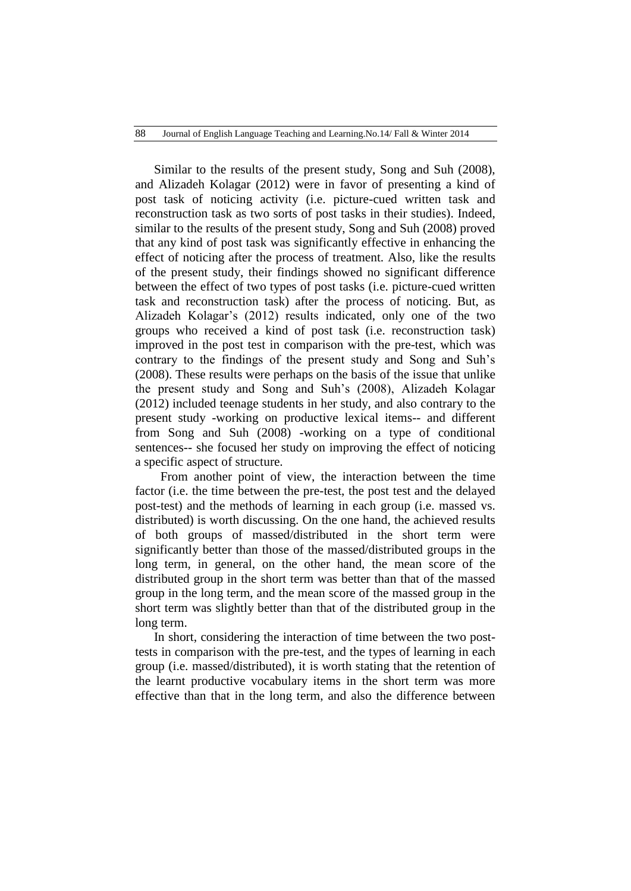Similar to the results of the present study, Song and Suh (2008), and Alizadeh Kolagar (2012) were in favor of presenting a kind of post task of noticing activity (i.e. picture-cued written task and reconstruction task as two sorts of post tasks in their studies). Indeed, similar to the results of the present study, Song and Suh (2008) proved that any kind of post task was significantly effective in enhancing the effect of noticing after the process of treatment. Also, like the results of the present study, their findings showed no significant difference between the effect of two types of post tasks (i.e. picture-cued written task and reconstruction task) after the process of noticing. But, as Alizadeh Kolagar's (2012) results indicated, only one of the two groups who received a kind of post task (i.e. reconstruction task) improved in the post test in comparison with the pre-test, which was contrary to the findings of the present study and Song and Suh's (2008). These results were perhaps on the basis of the issue that unlike the present study and Song and Suh's (2008), Alizadeh Kolagar (2012) included teenage students in her study, and also contrary to the present study -working on productive lexical items-- and different from Song and Suh (2008) -working on a type of conditional sentences-- she focused her study on improving the effect of noticing a specific aspect of structure.

 From another point of view, the interaction between the time factor (i.e. the time between the pre-test, the post test and the delayed post-test) and the methods of learning in each group (i.e. massed vs. distributed) is worth discussing. On the one hand, the achieved results of both groups of massed/distributed in the short term were significantly better than those of the massed/distributed groups in the long term, in general, on the other hand, the mean score of the distributed group in the short term was better than that of the massed group in the long term, and the mean score of the massed group in the short term was slightly better than that of the distributed group in the long term.

In short, considering the interaction of time between the two posttests in comparison with the pre-test, and the types of learning in each group (i.e. massed/distributed), it is worth stating that the retention of the learnt productive vocabulary items in the short term was more effective than that in the long term, and also the difference between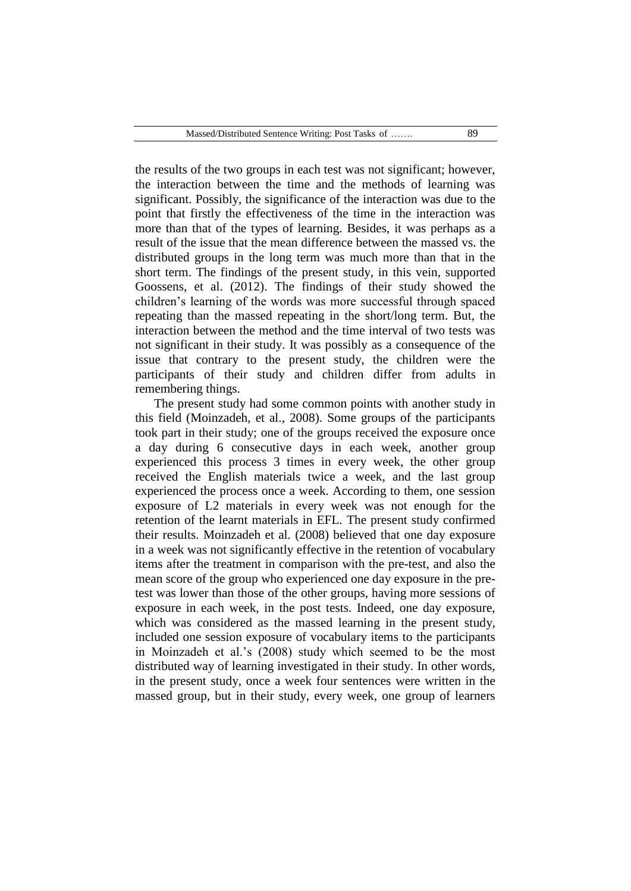the results of the two groups in each test was not significant; however, the interaction between the time and the methods of learning was significant. Possibly, the significance of the interaction was due to the point that firstly the effectiveness of the time in the interaction was more than that of the types of learning. Besides, it was perhaps as a result of the issue that the mean difference between the massed vs. the distributed groups in the long term was much more than that in the short term. The findings of the present study, in this vein, supported Goossens, et al. (2012). The findings of their study showed the children's learning of the words was more successful through spaced repeating than the massed repeating in the short/long term. But, the interaction between the method and the time interval of two tests was not significant in their study. It was possibly as a consequence of the issue that contrary to the present study, the children were the participants of their study and children differ from adults in remembering things.

The present study had some common points with another study in this field (Moinzadeh, et al., 2008). Some groups of the participants took part in their study; one of the groups received the exposure once a day during 6 consecutive days in each week, another group experienced this process 3 times in every week, the other group received the English materials twice a week, and the last group experienced the process once a week. According to them, one session exposure of L2 materials in every week was not enough for the retention of the learnt materials in EFL. The present study confirmed their results. Moinzadeh et al. (2008) believed that one day exposure in a week was not significantly effective in the retention of vocabulary items after the treatment in comparison with the pre-test, and also the mean score of the group who experienced one day exposure in the pretest was lower than those of the other groups, having more sessions of exposure in each week, in the post tests. Indeed, one day exposure, which was considered as the massed learning in the present study, included one session exposure of vocabulary items to the participants in Moinzadeh et al.'s (2008) study which seemed to be the most distributed way of learning investigated in their study. In other words, in the present study, once a week four sentences were written in the massed group, but in their study, every week, one group of learners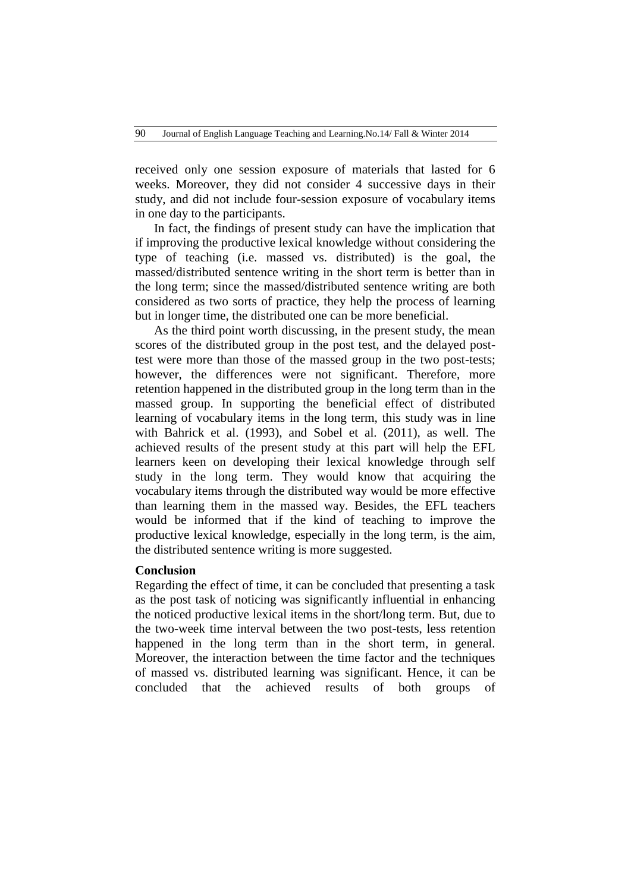received only one session exposure of materials that lasted for 6 weeks. Moreover, they did not consider 4 successive days in their study, and did not include four-session exposure of vocabulary items in one day to the participants.

In fact, the findings of present study can have the implication that if improving the productive lexical knowledge without considering the type of teaching (i.e. massed vs. distributed) is the goal, the massed/distributed sentence writing in the short term is better than in the long term; since the massed/distributed sentence writing are both considered as two sorts of practice, they help the process of learning but in longer time, the distributed one can be more beneficial.

As the third point worth discussing, in the present study, the mean scores of the distributed group in the post test, and the delayed posttest were more than those of the massed group in the two post-tests; however, the differences were not significant. Therefore, more retention happened in the distributed group in the long term than in the massed group. In supporting the beneficial effect of distributed learning of vocabulary items in the long term, this study was in line with Bahrick et al. (1993), and Sobel et al. (2011), as well. The achieved results of the present study at this part will help the EFL learners keen on developing their lexical knowledge through self study in the long term. They would know that acquiring the vocabulary items through the distributed way would be more effective than learning them in the massed way. Besides, the EFL teachers would be informed that if the kind of teaching to improve the productive lexical knowledge, especially in the long term, is the aim, the distributed sentence writing is more suggested.

#### **Conclusion**

Regarding the effect of time, it can be concluded that presenting a task as the post task of noticing was significantly influential in enhancing the noticed productive lexical items in the short/long term. But, due to the two-week time interval between the two post-tests, less retention happened in the long term than in the short term, in general. Moreover, the interaction between the time factor and the techniques of massed vs. distributed learning was significant. Hence, it can be concluded that the achieved results of both groups of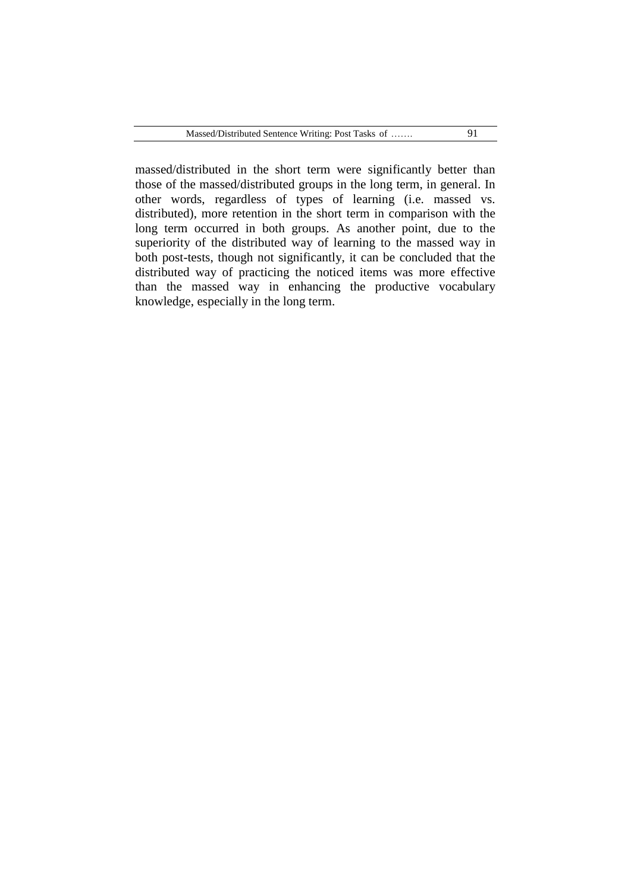massed/distributed in the short term were significantly better than those of the massed/distributed groups in the long term, in general. In other words, regardless of types of learning (i.e. massed vs. distributed), more retention in the short term in comparison with the long term occurred in both groups. As another point, due to the superiority of the distributed way of learning to the massed way in both post-tests, though not significantly, it can be concluded that the distributed way of practicing the noticed items was more effective than the massed way in enhancing the productive vocabulary knowledge, especially in the long term.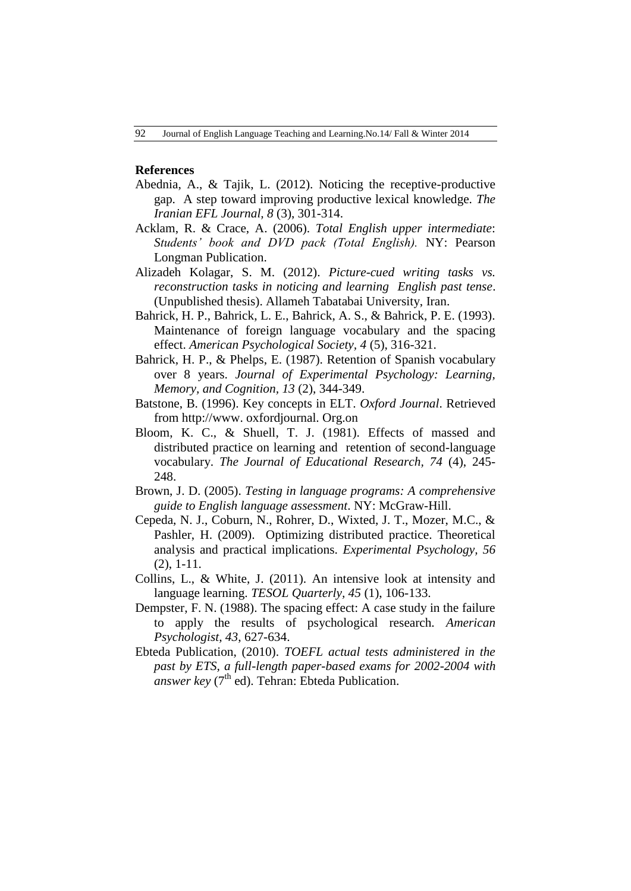### **References**

- Abednia, A., & Tajik, L. (2012). Noticing the receptive-productive gap. A step toward improving productive lexical knowledge. *The Iranian EFL Journal, 8* (3), 301-314.
- Acklam, R. & Crace, A. (2006). *Total English upper intermediate*: *Students' book and DVD pack (Total English).* NY: Pearson Longman Publication.
- Alizadeh Kolagar, S. M. (2012). *Picture-cued writing tasks vs. reconstruction tasks in noticing and learning English past tense*. (Unpublished thesis). Allameh Tabatabai University, Iran.
- Bahrick, H. P., Bahrick, L. E., Bahrick, A. S., & Bahrick, P. E. (1993). Maintenance of foreign language vocabulary and the spacing effect. *American Psychological Society, 4* (5), 316-321.
- Bahrick, H. P., & Phelps, E. (1987). Retention of Spanish vocabulary over 8 years. *Journal of Experimental Psychology: Learning, Memory, and Cognition, 13* (2), 344-349.
- Batstone, B. (1996). Key concepts in ELT. *Oxford Journal*. Retrieved from http://www. oxfordjournal. Org.on
- Bloom, K. C., & Shuell, T. J. (1981). Effects of massed and distributed practice on learning and retention of second-language vocabulary. *The Journal of Educational Research, 74* (4), 245- 248.
- Brown, J. D. (2005). *Testing in language programs: A comprehensive guide to English language assessment*. NY: McGraw-Hill.
- Cepeda, N. J., Coburn, N., Rohrer, D., Wixted, J. T., Mozer, M.C., & Pashler, H. (2009). Optimizing distributed practice. Theoretical analysis and practical implications. *Experimental Psychology, 56*  (2), 1-11.
- Collins, L., & White, J. (2011). An intensive look at intensity and language learning. *TESOL Quarterly, 45* (1), 106-133.
- Dempster, F. N. (1988). The spacing effect: A case study in the failure to apply the results of psychological research. *American Psychologist, 43*, 627-634.
- Ebteda Publication, (2010). *TOEFL actual tests administered in the past by ETS, a full-length paper-based exams for 2002-2004 with*   $a$ nswer key ( $7<sup>th</sup>$ ed). Tehran: Ebteda Publication.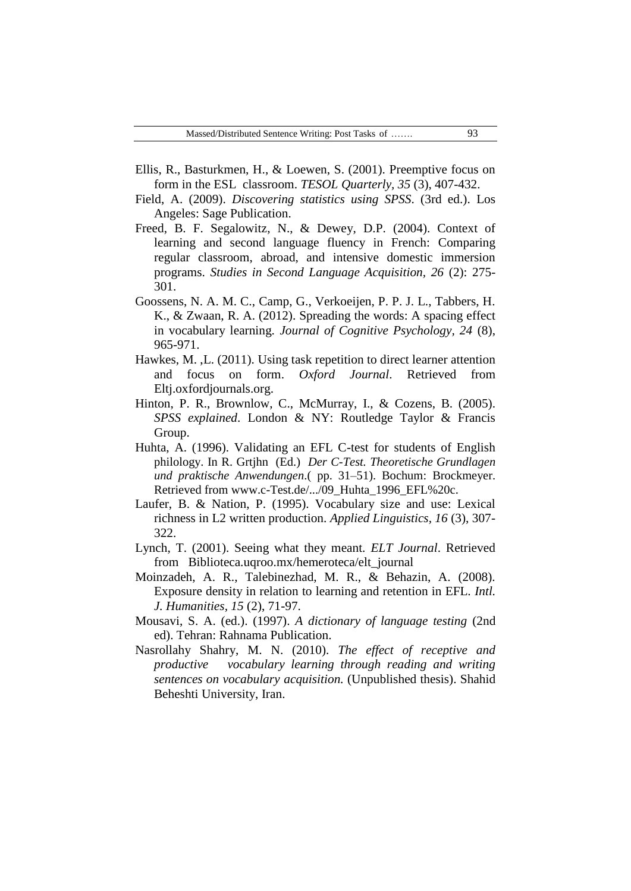- Ellis, R., Basturkmen, H., & Loewen, S. (2001). Preemptive focus on form in the ESL classroom. *TESOL Quarterly, 35* (3), 407-432.
- Field, A. (2009). *Discovering statistics using SPSS*. (3rd ed.). Los Angeles: Sage Publication.
- Freed, B. F. Segalowitz, N., & Dewey, D.P. (2004). Context of learning and second language fluency in French: Comparing regular classroom, abroad, and intensive domestic immersion programs. *Studies in Second Language Acquisition, 26* (2): 275- 301.
- Goossens, N. A. M. C., Camp, G., Verkoeijen, P. P. J. L., Tabbers, H. K., & Zwaan, R. A. (2012). Spreading the words: A spacing effect in vocabulary learning. *Journal of Cognitive Psychology, 24* (8), 965-971.
- Hawkes, M. ,L. (2011). Using task repetition to direct learner attention and focus on form. *Oxford Journal*. Retrieved from Eltj.oxfordjournals.org.
- Hinton, P. R., Brownlow, C., McMurray, I., & Cozens, B. (2005). *SPSS explained*. London & NY: Routledge Taylor & Francis Group.
- Huhta, A. (1996). Validating an EFL C-test for students of English philology. In R. Grtjhn (Ed.) *Der C-Test. Theoretische Grundlagen und praktische Anwendungen*.( pp. 31–51). Bochum: Brockmeyer. Retrieved from www.c-Test.de/.../09\_Huhta\_1996\_EFL%20c.
- Laufer, B. & Nation, P. (1995). Vocabulary size and use: Lexical richness in L2 written production. *Applied Linguistics, 16* (3), 307- 322.
- Lynch, T. (2001). Seeing what they meant*. ELT Journal*. Retrieved from Biblioteca.uqroo.mx/hemeroteca/elt\_journal
- Moinzadeh, A. R., Talebinezhad, M. R., & Behazin, A. (2008). Exposure density in relation to learning and retention in EFL. *Intl. J. Humanities, 15* (2), 71-97.
- Mousavi, S. A. (ed.). (1997). *A dictionary of language testing* (2nd ed). Tehran: Rahnama Publication.
- Nasrollahy Shahry, M. N. (2010). *The effect of receptive and productive vocabulary learning through reading and writing sentences on vocabulary acquisition.* (Unpublished thesis). Shahid Beheshti University, Iran.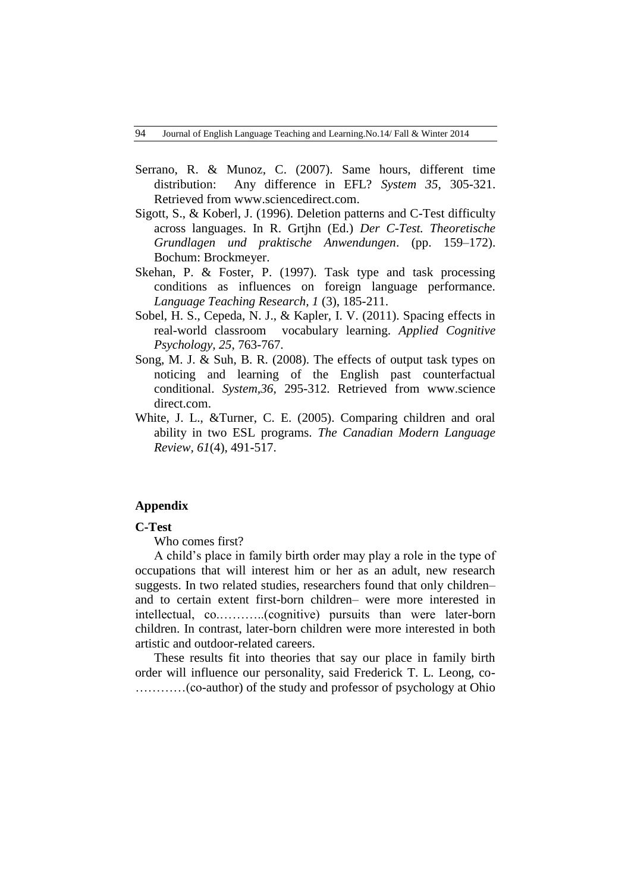- Serrano, R. & Munoz, C. (2007). Same hours, different time distribution: Any difference in EFL? *System 35*, 305-321. Retrieved from www.sciencedirect.com.
- Sigott, S., & Koberl, J. (1996). Deletion patterns and C-Test difficulty across languages. In R. Grtjhn (Ed.) *Der C-Test. Theoretische Grundlagen und praktische Anwendungen*. (pp. 159–172). Bochum: Brockmeyer.
- Skehan, P. & Foster, P. (1997). Task type and task processing conditions as influences on foreign language performance. *Language Teaching Research, 1* (3), 185-211.
- Sobel, H. S., Cepeda, N. J., & Kapler, I. V. (2011). Spacing effects in real-world classroom vocabulary learning. *Applied Cognitive Psychology, 25*, 763-767.
- Song, M. J. & Suh, B. R. (2008). The effects of output task types on noticing and learning of the English past counterfactual conditional. *System,36*, 295-312. Retrieved from www.science direct.com.
- White, J. L., &Turner, C. E. (2005). Comparing children and oral ability in two ESL programs. *The Canadian Modern Language Review, 61*(4), 491-517.

## **Appendix**

### **C-Test**

Who comes first?

A child's place in family birth order may play a role in the type of occupations that will interest him or her as an adult, new research suggests. In two related studies, researchers found that only children– and to certain extent first-born children– were more interested in intellectual, co.………..(cognitive) pursuits than were later-born children. In contrast, later-born children were more interested in both artistic and outdoor-related careers.

These results fit into theories that say our place in family birth order will influence our personality, said Frederick T. L. Leong, co- …………(co-author) of the study and professor of psychology at Ohio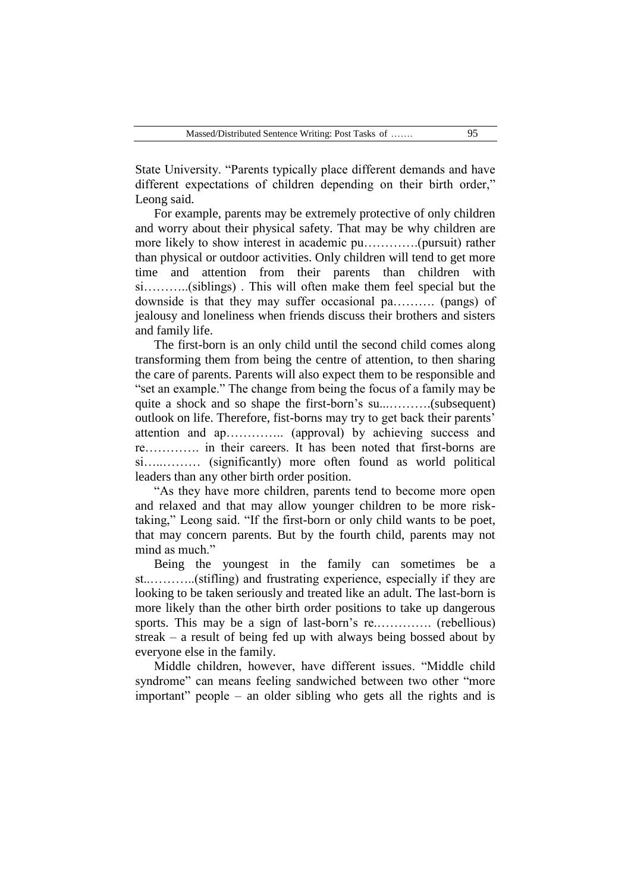State University. "Parents typically place different demands and have different expectations of children depending on their birth order," Leong said.

For example, parents may be extremely protective of only children and worry about their physical safety. That may be why children are more likely to show interest in academic pu………….(pursuit) rather than physical or outdoor activities. Only children will tend to get more time and attention from their parents than children with si………..(siblings) . This will often make them feel special but the downside is that they may suffer occasional pa………. (pangs) of jealousy and loneliness when friends discuss their brothers and sisters and family life.

The first-born is an only child until the second child comes along transforming them from being the centre of attention, to then sharing the care of parents. Parents will also expect them to be responsible and "set an example." The change from being the focus of a family may be quite a shock and so shape the first-born's su...……….(subsequent) outlook on life. Therefore, fist-borns may try to get back their parents' attention and ap………….. (approval) by achieving success and re…………. in their careers. It has been noted that first-borns are si…..……… (significantly) more often found as world political leaders than any other birth order position.

"As they have more children, parents tend to become more open and relaxed and that may allow younger children to be more risktaking," Leong said. "If the first-born or only child wants to be poet, that may concern parents. But by the fourth child, parents may not mind as much."

Being the youngest in the family can sometimes be a st..………..(stifling) and frustrating experience, especially if they are looking to be taken seriously and treated like an adult. The last-born is more likely than the other birth order positions to take up dangerous sports. This may be a sign of last-born's re................ (rebellious) streak – a result of being fed up with always being bossed about by everyone else in the family.

Middle children, however, have different issues. "Middle child syndrome" can means feeling sandwiched between two other "more important" people – an older sibling who gets all the rights and is